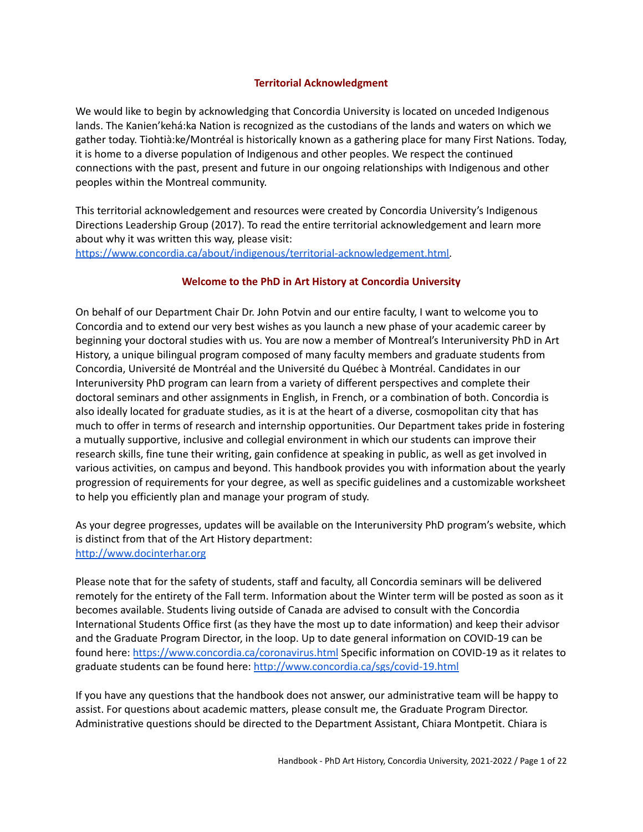#### **Territorial Acknowledgment**

We would like to begin by acknowledging that Concordia University is located on unceded Indigenous lands. The Kanien'kehá:ka Nation is recognized as the custodians of the lands and waters on which we gather today. Tiohtià:ke/Montréal is historically known as a gathering place for many First Nations. Today, it is home to a diverse population of Indigenous and other peoples. We respect the continued connections with the past, present and future in our ongoing relationships with Indigenous and other peoples within the Montreal community.

This territorial acknowledgement and resources were created by Concordia University's Indigenous Directions Leadership Group (2017). To read the entire territorial acknowledgement and learn more about why it was written this way, please visit:

[https://www.concordia.ca/about/indigenous/territorial-acknowledgement.html.](https://www.concordia.ca/about/indigenous/territorial-acknowledgement.html)

### **Welcome to the PhD in Art History at Concordia University**

On behalf of our Department Chair Dr. John Potvin and our entire faculty, I want to welcome you to Concordia and to extend our very best wishes as you launch a new phase of your academic career by beginning your doctoral studies with us. You are now a member of Montreal's Interuniversity PhD in Art History, a unique bilingual program composed of many faculty members and graduate students from Concordia, Université de Montréal and the Université du Québec à Montréal. Candidates in our Interuniversity PhD program can learn from a variety of different perspectives and complete their doctoral seminars and other assignments in English, in French, or a combination of both. Concordia is also ideally located for graduate studies, as it is at the heart of a diverse, cosmopolitan city that has much to offer in terms of research and internship opportunities. Our Department takes pride in fostering a mutually supportive, inclusive and collegial environment in which our students can improve their research skills, fine tune their writing, gain confidence at speaking in public, as well as get involved in various activities, on campus and beyond. This handbook provides you with information about the yearly progression of requirements for your degree, as well as specific guidelines and a customizable worksheet to help you efficiently plan and manage your program of study.

As your degree progresses, updates will be available on the Interuniversity PhD program's website, which is distinct from that of the Art History department: <http://www.docinterhar.org>

Please note that for the safety of students, staff and faculty, all Concordia seminars will be delivered remotely for the entirety of the Fall term. Information about the Winter term will be posted as soon as it becomes available. Students living outside of Canada are advised to consult with the Concordia International Students Office first (as they have the most up to date information) and keep their advisor and the Graduate Program Director, in the loop. Up to date general information on COVID-19 can be found here: <https://www.concordia.ca/coronavirus.html> Specific information on COVID-19 as it relates to graduate students can be found here: <http://www.concordia.ca/sgs/covid-19.html>

If you have any questions that the handbook does not answer, our administrative team will be happy to assist. For questions about academic matters, please consult me, the Graduate Program Director. Administrative questions should be directed to the Department Assistant, Chiara Montpetit. Chiara is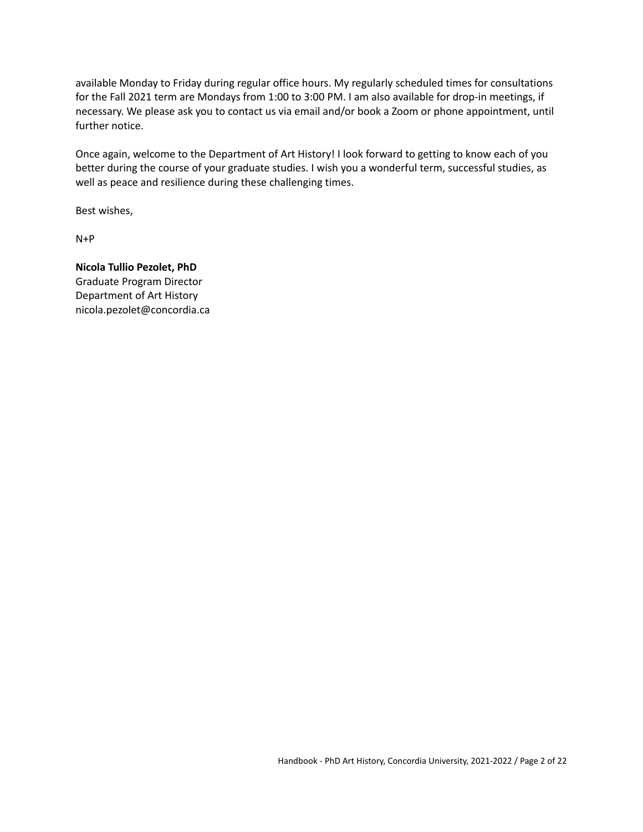available Monday to Friday during regular office hours. My regularly scheduled times for consultations for the Fall 2021 term are Mondays from 1:00 to 3:00 PM. I am also available for drop-in meetings, if necessary. We please ask you to contact us via email and/or book a Zoom or phone appointment, until further notice.

Once again, welcome to the Department of Art History! I look forward to getting to know each of you better during the course of your graduate studies. I wish you a wonderful term, successful studies, as well as peace and resilience during these challenging times.

Best wishes,

N+P

**Nicola Tullio Pezolet, PhD** Graduate Program Director Department of Art History nicola.pezolet@concordia.ca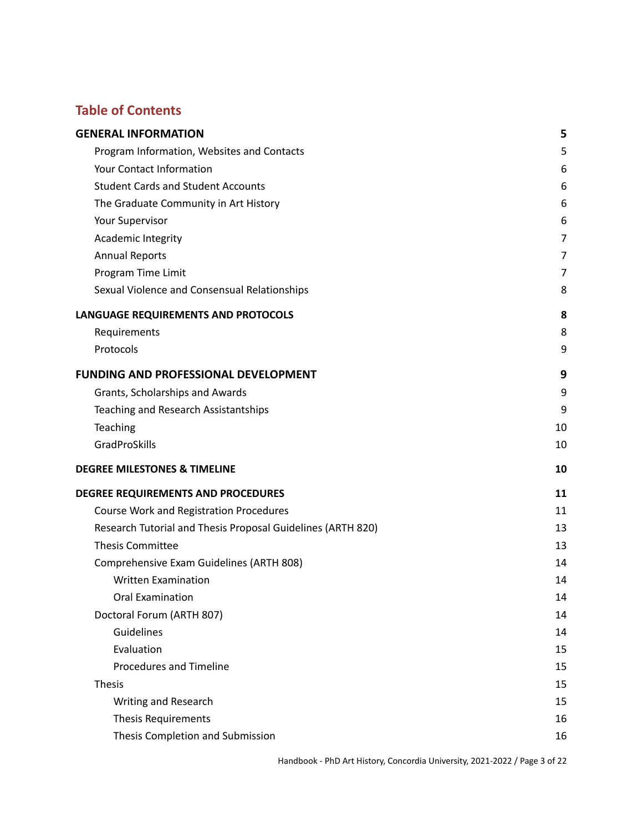# **Table of Contents**

| <b>GENERAL INFORMATION</b>                                  | 5  |
|-------------------------------------------------------------|----|
| Program Information, Websites and Contacts                  | 5  |
| Your Contact Information                                    | 6  |
| <b>Student Cards and Student Accounts</b>                   | 6  |
| The Graduate Community in Art History                       | 6  |
| Your Supervisor                                             | 6  |
| Academic Integrity                                          | 7  |
| <b>Annual Reports</b>                                       | 7  |
| Program Time Limit                                          | 7  |
| Sexual Violence and Consensual Relationships                | 8  |
| LANGUAGE REQUIREMENTS AND PROTOCOLS                         | 8  |
| Requirements                                                | 8  |
| Protocols                                                   | 9  |
| <b>FUNDING AND PROFESSIONAL DEVELOPMENT</b>                 | 9  |
| Grants, Scholarships and Awards                             | 9  |
| Teaching and Research Assistantships                        | 9  |
| Teaching                                                    | 10 |
| GradProSkills                                               | 10 |
| <b>DEGREE MILESTONES &amp; TIMELINE</b>                     | 10 |
| DEGREE REQUIREMENTS AND PROCEDURES                          | 11 |
| Course Work and Registration Procedures                     | 11 |
| Research Tutorial and Thesis Proposal Guidelines (ARTH 820) | 13 |
| <b>Thesis Committee</b>                                     | 13 |
| Comprehensive Exam Guidelines (ARTH 808)                    | 14 |
| <b>Written Examination</b>                                  | 14 |
| <b>Oral Examination</b>                                     | 14 |
| Doctoral Forum (ARTH 807)                                   | 14 |
| Guidelines                                                  | 14 |
| Evaluation                                                  | 15 |
| <b>Procedures and Timeline</b>                              | 15 |
| <b>Thesis</b>                                               | 15 |
| Writing and Research                                        | 15 |
| <b>Thesis Requirements</b>                                  | 16 |
| Thesis Completion and Submission                            | 16 |

Handbook - PhD Art History, Concordia University, 2021-2022 / Page 3 of 22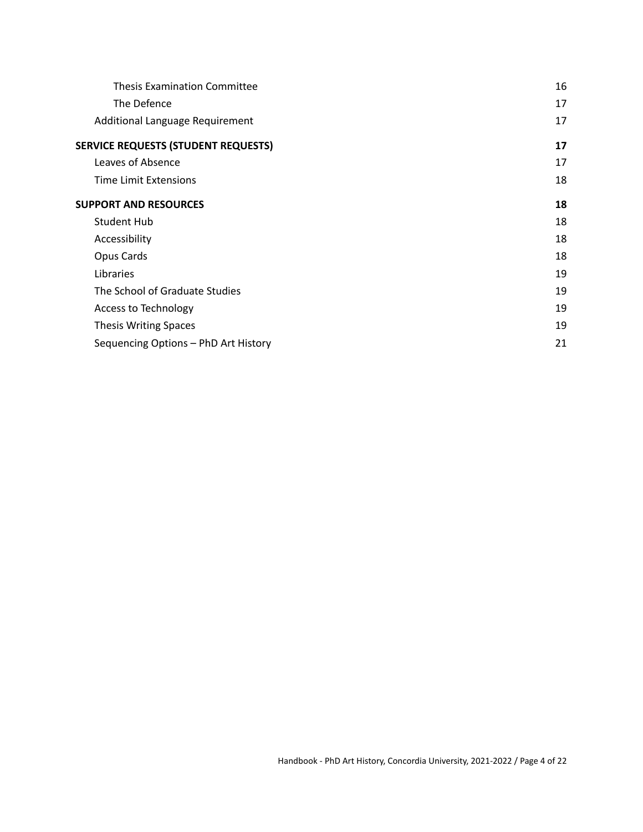| <b>Thesis Examination Committee</b>        | 16 |
|--------------------------------------------|----|
| The Defence                                | 17 |
| Additional Language Requirement            | 17 |
| <b>SERVICE REQUESTS (STUDENT REQUESTS)</b> | 17 |
| Leaves of Absence                          | 17 |
| <b>Time Limit Extensions</b>               | 18 |
| <b>SUPPORT AND RESOURCES</b>               | 18 |
| <b>Student Hub</b>                         | 18 |
| Accessibility                              | 18 |
| Opus Cards                                 | 18 |
| Libraries                                  | 19 |
| The School of Graduate Studies             | 19 |
| Access to Technology                       | 19 |
| Thesis Writing Spaces                      | 19 |
| Sequencing Options - PhD Art History       | 21 |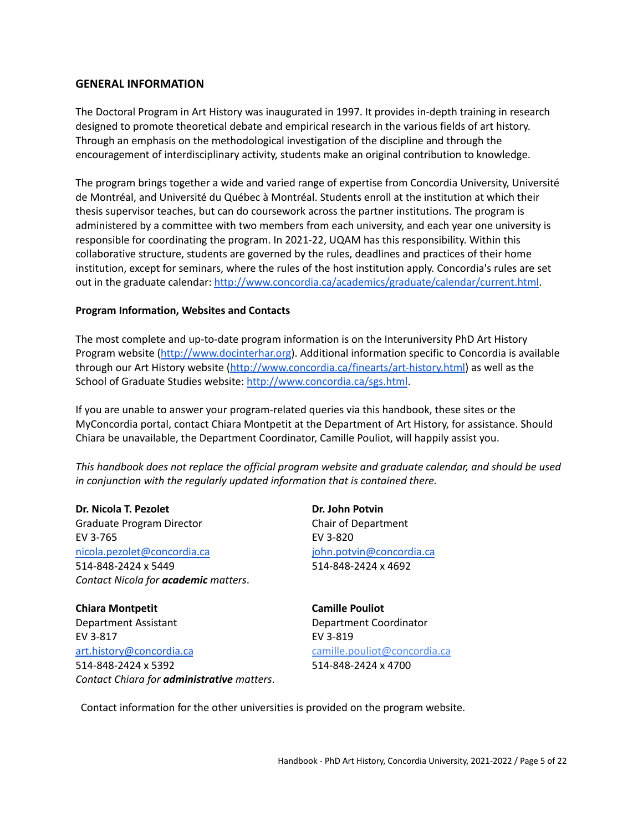#### <span id="page-4-0"></span>**GENERAL INFORMATION**

The Doctoral Program in Art History was inaugurated in 1997. It provides in-depth training in research designed to promote theoretical debate and empirical research in the various fields of art history. Through an emphasis on the methodological investigation of the discipline and through the encouragement of interdisciplinary activity, students make an original contribution to knowledge.

The program brings together a wide and varied range of expertise from Concordia University, Université de Montréal, and Université du Québec à Montréal. Students enroll at the institution at which their thesis supervisor teaches, but can do coursework across the partner institutions. The program is administered by a committee with two members from each university, and each year one university is responsible for coordinating the program. In 2021-22, UQAM has this responsibility. Within this collaborative structure, students are governed by the rules, deadlines and practices of their home institution, except for seminars, where the rules of the host institution apply. Concordia's rules are set out in the graduate calendar: <http://www.concordia.ca/academics/graduate/calendar/current.html>.

#### <span id="page-4-1"></span>**Program Information, Websites and Contacts**

The most complete and up-to-date program information is on the Interuniversity PhD Art History Program website [\(http://www.docinterhar.org](http://www.docinterhar.org/program/)). Additional information specific to Concordia is available through our Art History website [\(http://www.concordia.ca/finearts/art-history.html](http://www.concordia.ca/finearts/art-history.html)) as well as the School of Graduate Studies website: <http://www.concordia.ca/sgs.html>.

If you are unable to answer your program-related queries via this handbook, these sites or the MyConcordia portal, contact Chiara Montpetit at the Department of Art History, for assistance. Should Chiara be unavailable, the Department Coordinator, Camille Pouliot, will happily assist you.

*This handbook does not replace the official program website and graduate calendar, and should be used in conjunction with the regularly updated information that is contained there.*

**Dr. Nicola T. Pezolet Dr. John Potvin** Graduate Program Director **Chair of Department** EV 3-765 EV 3-820 [nicola.pezolet@concordia.ca](mailto:nicola.pezolet@concordia.ca) 514-848-2424 x 5449 *Contact Nicola for academic matters*.

**Chiara Montpetit Camille Pouliot** Department Assistant Department Coordinator EV 3-817 EV 3-819 [art.history@concordia.ca](mailto:art.history@concordia.ca) 514-848-2424 x 5392 *Contact Chiara for administrative matters*.

[jo](mailto:johanne.sloan@concordia.ca)hn.potvin@concordia.ca 514-848-2424 x 4692

camille.pouliot@concordia.ca 514-848-2424 x 4700

Contact information for the other universities is provided on the program website.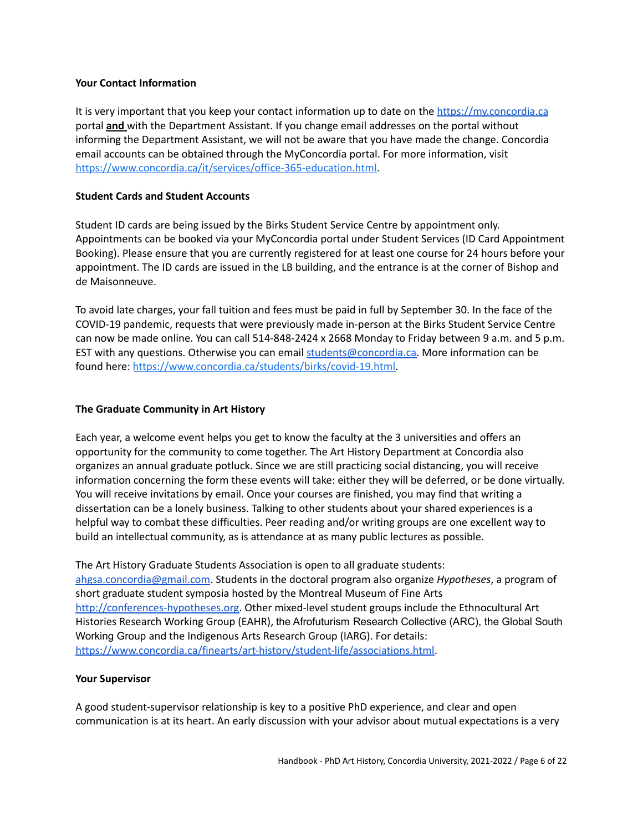#### **Your Contact Information**

It is very important that you keep your contact information up to date on the [https://my.concordia.ca](https://my.concordia.ca/) portal **and** with the Department Assistant. If you change email addresses on the portal without informing the Department Assistant, we will not be aware that you have made the change. Concordia email accounts can be obtained through the MyConcordia portal. For more information, visit [https://www.concordia.ca/it/services/office-365-education.html.](https://www.concordia.ca/it/services/office-365-education.html)

#### **Student Cards and Student Accounts**

Student ID cards are being issued by the Birks Student Service Centre by appointment only. Appointments can be booked via your MyConcordia portal under Student Services (ID Card Appointment Booking). Please ensure that you are currently registered for at least one course for 24 hours before your appointment. The ID cards are issued in the LB building, and the entrance is at the corner of Bishop and de Maisonneuve.

To avoid late charges, your fall tuition and fees must be paid in full by September 30. In the face of the COVID-19 pandemic, requests that were previously made in-person at the Birks Student Service Centre can now be made online. You can call 514-848-2424 x 2668 Monday to Friday between 9 a.m. and 5 p.m. EST with any questions. Otherwise you can email [students@concordia.ca.](mailto:students@concordia.ca) More information can be found here: [https://www.concordia.ca/students/birks/covid-19.html.](https://www.concordia.ca/students/birks/covid-19.html)

#### <span id="page-5-0"></span>**The Graduate Community in Art History**

Each year, a welcome event helps you get to know the faculty at the 3 universities and offers an opportunity for the community to come together. The Art History Department at Concordia also organizes an annual graduate potluck. Since we are still practicing social distancing, you will receive information concerning the form these events will take: either they will be deferred, or be done virtually. You will receive invitations by email. Once your courses are finished, you may find that writing a dissertation can be a lonely business. Talking to other students about your shared experiences is a helpful way to combat these difficulties. Peer reading and/or writing groups are one excellent way to build an intellectual community, as is attendance at as many public lectures as possible.

The Art History Graduate Students Association is open to all graduate students: [ahgsa.concordia@gmail.com](mailto:ahgsa.concordia@gmail.com). Students in the doctoral program also organize *Hypotheses*, a program of short graduate student symposia hosted by the Montreal Museum of Fine Arts [http://conferences-hypotheses.org.](http://conferences-hypotheses.org/) Other mixed-level student groups include the Ethnocultural Art Histories Research Working Group (EAHR), the Afrofuturism Research Collective (ARC), the Global South Working Group and the Indigenous Arts Research Group (IARG). For details: [https://www.concordia.ca/finearts/art-history/student-life/associations.html.](https://www.concordia.ca/finearts/art-history/student-life/associations.html)

#### <span id="page-5-1"></span>**Your Supervisor**

A good student-supervisor relationship is key to a positive PhD experience, and clear and open communication is at its heart. An early discussion with your advisor about mutual expectations is a very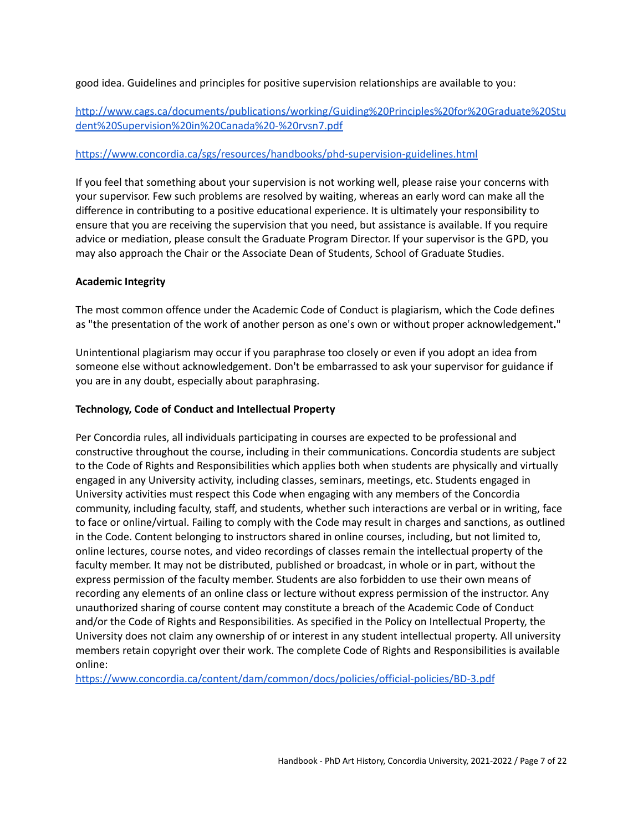good idea. Guidelines and principles for positive supervision relationships are available to you:

# [http://www.cags.ca/documents/publications/working/Guiding%20Principles%20for%20Graduate%20Stu](http://www.cags.ca/documents/publications/working/Guiding%20Principles%20for%20Graduate%20Student%20Supervision%20in%20Canada%20-%20rvsn7.pdf) [dent%20Supervision%20in%20Canada%20-%20rvsn7.pdf](http://www.cags.ca/documents/publications/working/Guiding%20Principles%20for%20Graduate%20Student%20Supervision%20in%20Canada%20-%20rvsn7.pdf)

### <https://www.concordia.ca/sgs/resources/handbooks/phd-supervision-guidelines.html>

If you feel that something about your supervision is not working well, please raise your concerns with your supervisor. Few such problems are resolved by waiting, whereas an early word can make all the difference in contributing to a positive educational experience. It is ultimately your responsibility to ensure that you are receiving the supervision that you need, but assistance is available. If you require advice or mediation, please consult the Graduate Program Director. If your supervisor is the GPD, you may also approach the Chair or the Associate Dean of Students, School of Graduate Studies.

### <span id="page-6-0"></span>**Academic Integrity**

The most common offence under the Academic Code of Conduct is plagiarism, which the Code defines as "the presentation of the work of another person as one's own or without proper acknowledgement**.**"

Unintentional plagiarism may occur if you paraphrase too closely or even if you adopt an idea from someone else without acknowledgement. Don't be embarrassed to ask your supervisor for guidance if you are in any doubt, especially about paraphrasing.

#### **Technology, Code of Conduct and Intellectual Property**

Per Concordia rules, all individuals participating in courses are expected to be professional and constructive throughout the course, including in their communications. Concordia students are subject to the Code of Rights and Responsibilities which applies both when students are physically and virtually engaged in any University activity, including classes, seminars, meetings, etc. Students engaged in University activities must respect this Code when engaging with any members of the Concordia community, including faculty, staff, and students, whether such interactions are verbal or in writing, face to face or online/virtual. Failing to comply with the Code may result in charges and sanctions, as outlined in the Code. Content belonging to instructors shared in online courses, including, but not limited to, online lectures, course notes, and video recordings of classes remain the intellectual property of the faculty member. It may not be distributed, published or broadcast, in whole or in part, without the express permission of the faculty member. Students are also forbidden to use their own means of recording any elements of an online class or lecture without express permission of the instructor. Any unauthorized sharing of course content may constitute a breach of the Academic Code of Conduct and/or the Code of Rights and Responsibilities. As specified in the Policy on Intellectual Property, the University does not claim any ownership of or interest in any student intellectual property. All university members retain copyright over their work. The complete Code of Rights and Responsibilities is available online:

<https://www.concordia.ca/content/dam/common/docs/policies/official-policies/BD-3.pdf>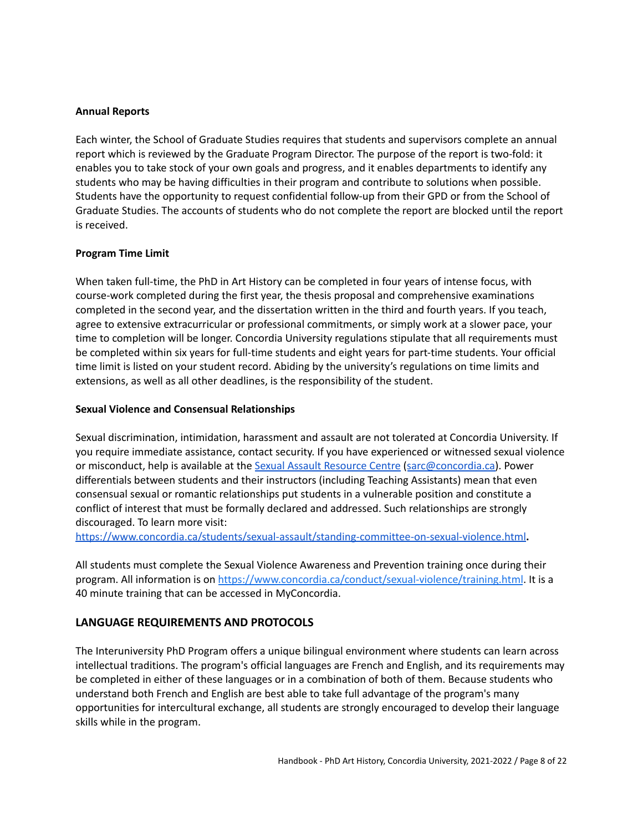#### <span id="page-7-0"></span>**Annual Reports**

Each winter, the School of Graduate Studies requires that students and supervisors complete an annual report which is reviewed by the Graduate Program Director. The purpose of the report is two-fold: it enables you to take stock of your own goals and progress, and it enables departments to identify any students who may be having difficulties in their program and contribute to solutions when possible. Students have the opportunity to request confidential follow-up from their GPD or from the School of Graduate Studies. The accounts of students who do not complete the report are blocked until the report is received.

#### <span id="page-7-1"></span>**Program Time Limit**

When taken full-time, the PhD in Art History can be completed in four years of intense focus, with course-work completed during the first year, the thesis proposal and comprehensive examinations completed in the second year, and the dissertation written in the third and fourth years. If you teach, agree to extensive extracurricular or professional commitments, or simply work at a slower pace, your time to completion will be longer. Concordia University regulations stipulate that all requirements must be completed within six years for full-time students and eight years for part-time students. Your official time limit is listed on your student record. Abiding by the university's regulations on time limits and extensions, as well as all other deadlines, is the responsibility of the student.

#### <span id="page-7-2"></span>**Sexual Violence and Consensual Relationships**

Sexual discrimination, intimidation, harassment and assault are not tolerated at Concordia University. If you require immediate assistance, contact security. If you have experienced or witnessed sexual violence or misconduct, help is available at the Sexual Assault [Resource](https://www.concordia.ca/students/sexual-assault.html) Centre ([sarc@concordia.ca\)](mailto:sarc@concordia.ca). Power differentials between students and their instructors (including Teaching Assistants) mean that even consensual sexual or romantic relationships put students in a vulnerable position and constitute a conflict of interest that must be formally declared and addressed. Such relationships are strongly discouraged. To learn more visit:

<https://www.concordia.ca/students/sexual-assault/standing-committee-on-sexual-violence.html>**.**

All students must complete the Sexual Violence Awareness and Prevention training once during their program. All information is on [https://www.concordia.ca/conduct/sexual-violence/training.html](https://www.concordia.ca/conduct/sexual-violence/training.html.All). It is a 40 minute training that can be accessed in MyConcordia.

### <span id="page-7-3"></span>**LANGUAGE REQUIREMENTS AND PROTOCOLS**

The Interuniversity PhD Program offers a unique bilingual environment where students can learn across intellectual traditions. The program's official languages are French and English, and its requirements may be completed in either of these languages or in a combination of both of them. Because students who understand both French and English are best able to take full advantage of the program's many opportunities for intercultural exchange, all students are strongly encouraged to develop their language skills while in the program.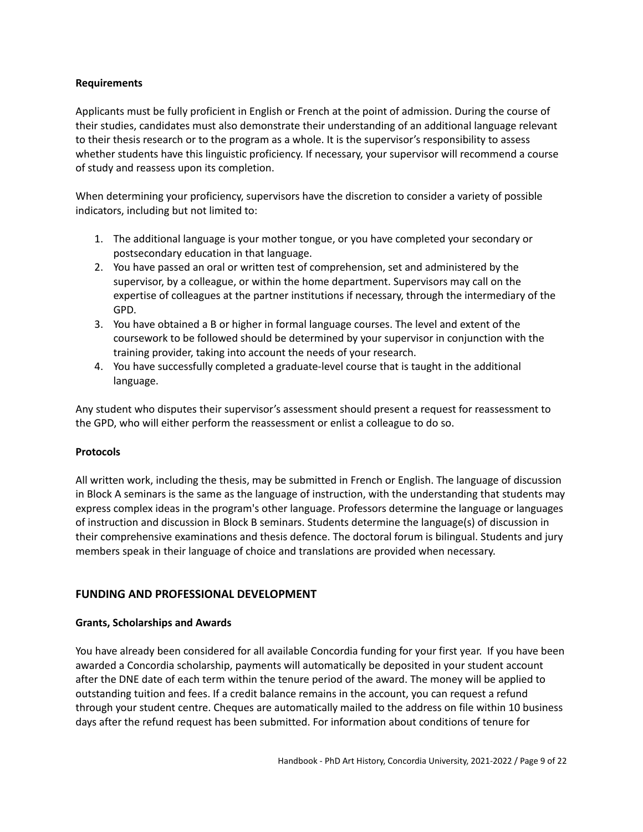#### <span id="page-8-0"></span>**Requirements**

Applicants must be fully proficient in English or French at the point of admission. During the course of their studies, candidates must also demonstrate their understanding of an additional language relevant to their thesis research or to the program as a whole. It is the supervisor's responsibility to assess whether students have this linguistic proficiency. If necessary, your supervisor will recommend a course of study and reassess upon its completion.

When determining your proficiency, supervisors have the discretion to consider a variety of possible indicators, including but not limited to:

- 1. The additional language is your mother tongue, or you have completed your secondary or postsecondary education in that language.
- 2. You have passed an oral or written test of comprehension, set and administered by the supervisor, by a colleague, or within the home department. Supervisors may call on the expertise of colleagues at the partner institutions if necessary, through the intermediary of the GPD.
- 3. You have obtained a B or higher in formal language courses. The level and extent of the coursework to be followed should be determined by your supervisor in conjunction with the training provider, taking into account the needs of your research.
- 4. You have successfully completed a graduate-level course that is taught in the additional language.

Any student who disputes their supervisor's assessment should present a request for reassessment to the GPD, who will either perform the reassessment or enlist a colleague to do so.

### <span id="page-8-1"></span>**Protocols**

All written work, including the thesis, may be submitted in French or English. The language of discussion in Block A seminars is the same as the language of instruction, with the understanding that students may express complex ideas in the program's other language. Professors determine the language or languages of instruction and discussion in Block B seminars. Students determine the language(s) of discussion in their comprehensive examinations and thesis defence. The doctoral forum is bilingual. Students and jury members speak in their language of choice and translations are provided when necessary.

### <span id="page-8-2"></span>**FUNDING AND PROFESSIONAL DEVELOPMENT**

#### <span id="page-8-3"></span>**Grants, Scholarships and Awards**

You have already been considered for all available Concordia funding for your first year. If you have been awarded a Concordia scholarship, payments will automatically be deposited in your student account after the DNE date of each term within the tenure period of the award. The money will be applied to outstanding tuition and fees. If a credit balance remains in the account, you can request a refund through your student centre. Cheques are automatically mailed to the address on file within 10 business days after the refund request has been submitted. For information about conditions of tenure for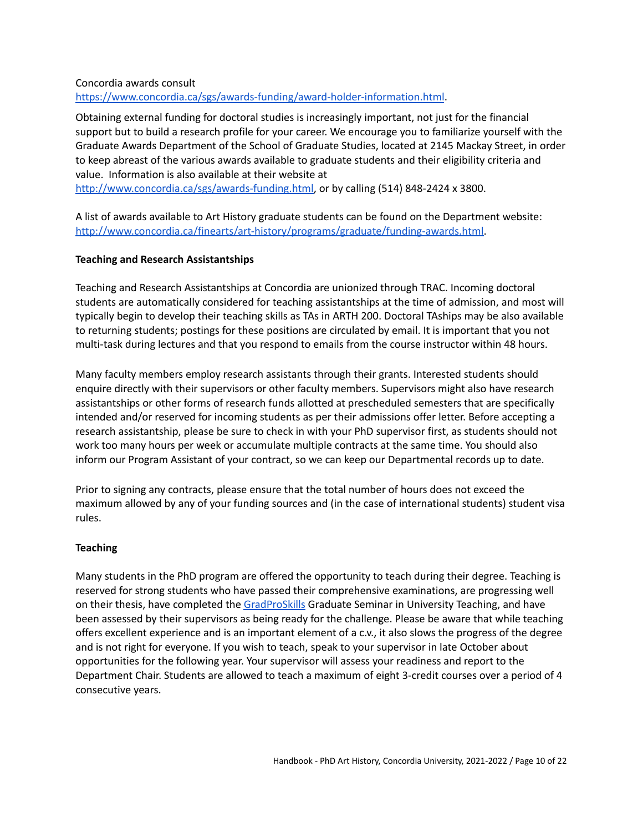#### Concordia awards consult <https://www.concordia.ca/sgs/awards-funding/award-holder-information.html>.

Obtaining external funding for doctoral studies is increasingly important, not just for the financial support but to build a research profile for your career. We encourage you to familiarize yourself with the Graduate Awards Department of the School of Graduate Studies, located at 2145 Mackay Street, in order to keep abreast of the various awards available to graduate students and their eligibility criteria and value. Information is also available at their website at [http://www.concordia.ca/sgs/awards-funding.html,](http://www.concordia.ca/sgs/awards-funding.html) or by calling (514) 848-2424 x 3800.

A list of awards available to Art History graduate students can be found on the Department website: [http://www.concordia.ca/finearts/art-history/programs/graduate/funding-awards.html.](http://www.concordia.ca/finearts/art-history/programs/graduate/funding-awards.html)

### <span id="page-9-0"></span>**Teaching and Research Assistantships**

Teaching and Research Assistantships at Concordia are unionized through TRAC. Incoming doctoral students are automatically considered for teaching assistantships at the time of admission, and most will typically begin to develop their teaching skills as TAs in ARTH 200. Doctoral TAships may be also available to returning students; postings for these positions are circulated by email. It is important that you not multi-task during lectures and that you respond to emails from the course instructor within 48 hours.

Many faculty members employ research assistants through their grants. Interested students should enquire directly with their supervisors or other faculty members. Supervisors might also have research assistantships or other forms of research funds allotted at prescheduled semesters that are specifically intended and/or reserved for incoming students as per their admissions offer letter. Before accepting a research assistantship, please be sure to check in with your PhD supervisor first, as students should not work too many hours per week or accumulate multiple contracts at the same time. You should also inform our Program Assistant of your contract, so we can keep our Departmental records up to date.

Prior to signing any contracts, please ensure that the total number of hours does not exceed the maximum allowed by any of your funding sources and (in the case of international students) student visa rules.

### <span id="page-9-1"></span>**Teaching**

Many students in the PhD program are offered the opportunity to teach during their degree. Teaching is reserved for strong students who have passed their comprehensive examinations, are progressing well on their thesis, have completed the [GradProSkills](https://www.concordia.ca/students/gradproskills/workshops.html) Graduate Seminar in University Teaching, and have been assessed by their supervisors as being ready for the challenge. Please be aware that while teaching offers excellent experience and is an important element of a c.v., it also slows the progress of the degree and is not right for everyone. If you wish to teach, speak to your supervisor in late October about opportunities for the following year. Your supervisor will assess your readiness and report to the Department Chair. Students are allowed to teach a maximum of eight 3-credit courses over a period of 4 consecutive years.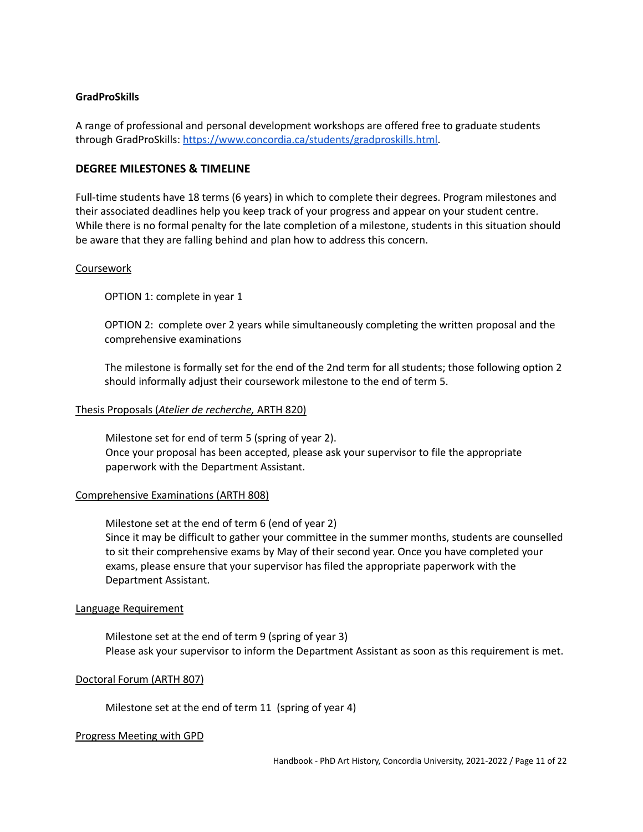#### <span id="page-10-0"></span>**GradProSkills**

A range of professional and personal development workshops are offered free to graduate students through GradProSkills: [https://www.concordia.ca/students/gradproskills.html.](https://www.concordia.ca/students/gradproskills.html)

#### <span id="page-10-1"></span>**DEGREE MILESTONES & TIMELINE**

Full-time students have 18 terms (6 years) in which to complete their degrees. Program milestones and their associated deadlines help you keep track of your progress and appear on your student centre. While there is no formal penalty for the late completion of a milestone, students in this situation should be aware that they are falling behind and plan how to address this concern.

#### **Coursework**

OPTION 1: complete in year 1

OPTION 2: complete over 2 years while simultaneously completing the written proposal and the comprehensive examinations

The milestone is formally set for the end of the 2nd term for all students; those following option 2 should informally adjust their coursework milestone to the end of term 5.

#### Thesis Proposals (*Atelier de recherche,* ARTH 820)

Milestone set for end of term 5 (spring of year 2). Once your proposal has been accepted, please ask your supervisor to file the appropriate paperwork with the Department Assistant.

#### Comprehensive Examinations (ARTH 808)

Milestone set at the end of term 6 (end of year 2) Since it may be difficult to gather your committee in the summer months, students are counselled to sit their comprehensive exams by May of their second year. Once you have completed your exams, please ensure that your supervisor has filed the appropriate paperwork with the Department Assistant.

#### Language Requirement

Milestone set at the end of term 9 (spring of year 3) Please ask your supervisor to inform the Department Assistant as soon as this requirement is met.

#### Doctoral Forum (ARTH 807)

Milestone set at the end of term 11 (spring of year 4)

#### Progress Meeting with GPD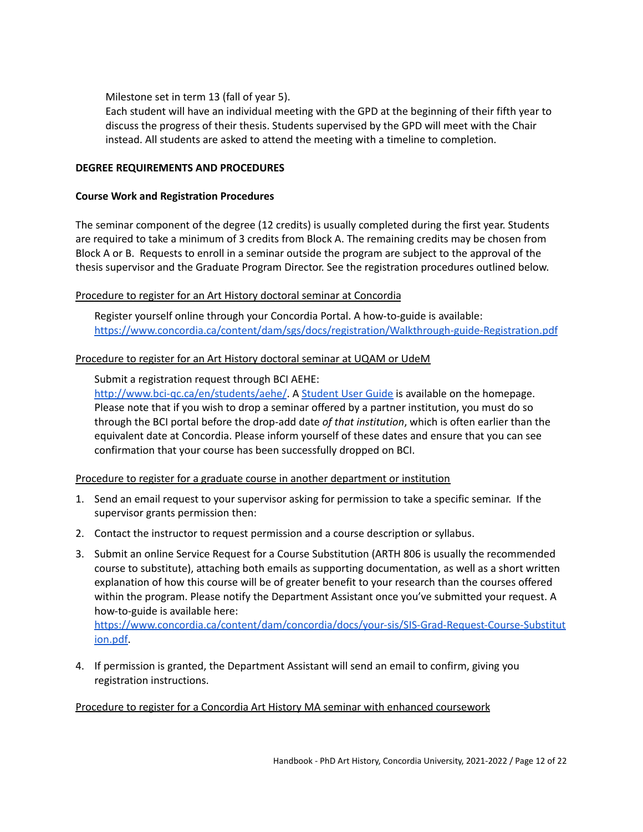Milestone set in term 13 (fall of year 5).

Each student will have an individual meeting with the GPD at the beginning of their fifth year to discuss the progress of their thesis. Students supervised by the GPD will meet with the Chair instead. All students are asked to attend the meeting with a timeline to completion.

### <span id="page-11-0"></span>**DEGREE REQUIREMENTS AND PROCEDURES**

### <span id="page-11-1"></span>**Course Work and Registration Procedures**

The seminar component of the degree (12 credits) is usually completed during the first year. Students are required to take a minimum of 3 credits from Block A. The remaining credits may be chosen from Block A or B. Requests to enroll in a seminar outside the program are subject to the approval of the thesis supervisor and the Graduate Program Director. See the registration procedures outlined below.

### Procedure to register for an Art History doctoral seminar at Concordia

Register yourself online through your Concordia Portal. A how-to-guide is available: <https://www.concordia.ca/content/dam/sgs/docs/registration/Walkthrough-guide-Registration.pdf>

### Procedure to register for an Art History doctoral seminar at UQAM or UdeM

Submit a registration request through BCI AEHE:

<http://www.bci-qc.ca/en/students/aehe/>. A [Student](http://www.bci-qc.ca/wp-content/uploads/2020/05/AEHE-Phase-2-Student-User-Guide_20200521.pdf) User Guide is available on the homepage. Please note that if you wish to drop a seminar offered by a partner institution, you must do so through the BCI portal before the drop-add date *of that institution*, which is often earlier than the equivalent date at Concordia. Please inform yourself of these dates and ensure that you can see confirmation that your course has been successfully dropped on BCI.

### Procedure to register for a graduate course in another department or institution

- 1. Send an email request to your supervisor asking for permission to take a specific seminar. If the supervisor grants permission then:
- 2. Contact the instructor to request permission and a course description or syllabus.
- 3. Submit an online Service Request for a Course Substitution (ARTH 806 is usually the recommended course to substitute), attaching both emails as supporting documentation, as well as a short written explanation of how this course will be of greater benefit to your research than the courses offered within the program. Please notify the Department Assistant once you've submitted your request. A how-to-guide is available here:

[https://www.concordia.ca/content/dam/concordia/docs/your-sis/SIS-Grad-Request-Course-Substitut](https://www.concordia.ca/content/dam/concordia/docs/your-sis/SIS-Grad-Request-Course-Substitution.pdf) [ion.pdf.](https://www.concordia.ca/content/dam/concordia/docs/your-sis/SIS-Grad-Request-Course-Substitution.pdf)

4. If permission is granted, the Department Assistant will send an email to confirm, giving you registration instructions.

### Procedure to register for a Concordia Art History MA seminar with enhanced coursework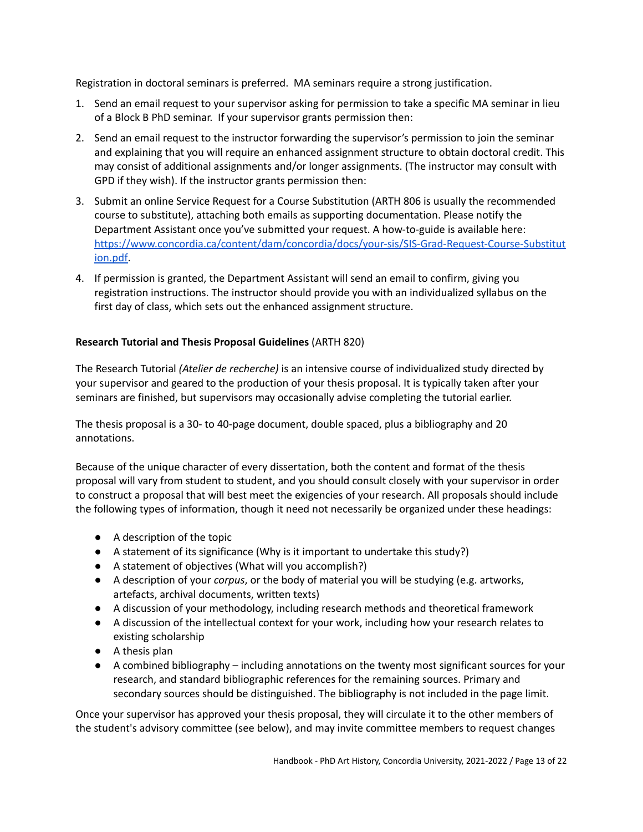Registration in doctoral seminars is preferred. MA seminars require a strong justification.

- 1. Send an email request to your supervisor asking for permission to take a specific MA seminar in lieu of a Block B PhD seminar. If your supervisor grants permission then:
- 2. Send an email request to the instructor forwarding the supervisor's permission to join the seminar and explaining that you will require an enhanced assignment structure to obtain doctoral credit. This may consist of additional assignments and/or longer assignments. (The instructor may consult with GPD if they wish). If the instructor grants permission then:
- 3. Submit an online Service Request for a Course Substitution (ARTH 806 is usually the recommended course to substitute), attaching both emails as supporting documentation. Please notify the Department Assistant once you've submitted your request. A how-to-guide is available here: [https://www.concordia.ca/content/dam/concordia/docs/your-sis/SIS-Grad-Request-Course-Substitut](https://www.concordia.ca/content/dam/concordia/docs/your-sis/SIS-Grad-Request-Course-Substitution.pdf) [ion.pdf.](https://www.concordia.ca/content/dam/concordia/docs/your-sis/SIS-Grad-Request-Course-Substitution.pdf)
- 4. If permission is granted, the Department Assistant will send an email to confirm, giving you registration instructions. The instructor should provide you with an individualized syllabus on the first day of class, which sets out the enhanced assignment structure.

### <span id="page-12-0"></span>**Research Tutorial and Thesis Proposal Guidelines** (ARTH 820)

The Research Tutorial *(Atelier de recherche)* is an intensive course of individualized study directed by your supervisor and geared to the production of your thesis proposal. It is typically taken after your seminars are finished, but supervisors may occasionally advise completing the tutorial earlier.

The thesis proposal is a 30- to 40-page document, double spaced, plus a bibliography and 20 annotations.

Because of the unique character of every dissertation, both the content and format of the thesis proposal will vary from student to student, and you should consult closely with your supervisor in order to construct a proposal that will best meet the exigencies of your research. All proposals should include the following types of information, though it need not necessarily be organized under these headings:

- A description of the topic
- A statement of its significance (Why is it important to undertake this study?)
- A statement of objectives (What will you accomplish?)
- A description of your *corpus*, or the body of material you will be studying (e.g. artworks, artefacts, archival documents, written texts)
- A discussion of your methodology, including research methods and theoretical framework
- A discussion of the intellectual context for your work, including how your research relates to existing scholarship
- A thesis plan
- A combined bibliography including annotations on the twenty most significant sources for your research, and standard bibliographic references for the remaining sources. Primary and secondary sources should be distinguished. The bibliography is not included in the page limit.

Once your supervisor has approved your thesis proposal, they will circulate it to the other members of the student's advisory committee (see below), and may invite committee members to request changes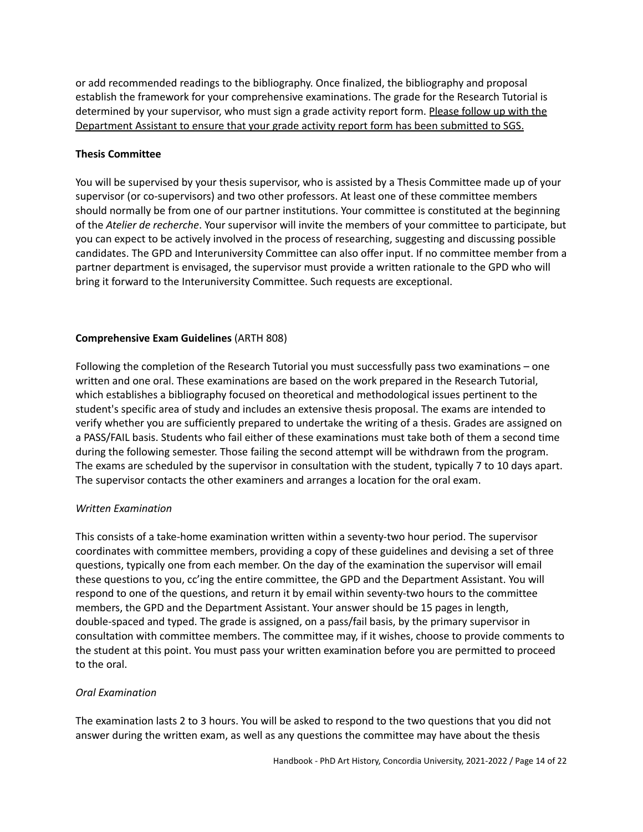or add recommended readings to the bibliography. Once finalized, the bibliography and proposal establish the framework for your comprehensive examinations. The grade for the Research Tutorial is determined by your supervisor, who must sign a grade activity report form. Please follow up with the Department Assistant to ensure that your grade activity report form has been submitted to SGS.

### <span id="page-13-0"></span>**Thesis Committee**

You will be supervised by your thesis supervisor, who is assisted by a Thesis Committee made up of your supervisor (or co-supervisors) and two other professors. At least one of these committee members should normally be from one of our partner institutions. Your committee is constituted at the beginning of the *Atelier de recherche*. Your supervisor will invite the members of your committee to participate, but you can expect to be actively involved in the process of researching, suggesting and discussing possible candidates. The GPD and Interuniversity Committee can also offer input. If no committee member from a partner department is envisaged, the supervisor must provide a written rationale to the GPD who will bring it forward to the Interuniversity Committee. Such requests are exceptional.

### <span id="page-13-1"></span>**Comprehensive Exam Guidelines** (ARTH 808)

Following the completion of the Research Tutorial you must successfully pass two examinations – one written and one oral. These examinations are based on the work prepared in the Research Tutorial, which establishes a bibliography focused on theoretical and methodological issues pertinent to the student's specific area of study and includes an extensive thesis proposal. The exams are intended to verify whether you are sufficiently prepared to undertake the writing of a thesis. Grades are assigned on a PASS/FAIL basis. Students who fail either of these examinations must take both of them a second time during the following semester. Those failing the second attempt will be withdrawn from the program. The exams are scheduled by the supervisor in consultation with the student, typically 7 to 10 days apart. The supervisor contacts the other examiners and arranges a location for the oral exam.

### <span id="page-13-2"></span>*Written Examination*

This consists of a take-home examination written within a seventy-two hour period. The supervisor coordinates with committee members, providing a copy of these guidelines and devising a set of three questions, typically one from each member. On the day of the examination the supervisor will email these questions to you, cc'ing the entire committee, the GPD and the Department Assistant. You will respond to one of the questions, and return it by email within seventy-two hours to the committee members, the GPD and the Department Assistant. Your answer should be 15 pages in length, double-spaced and typed. The grade is assigned, on a pass/fail basis, by the primary supervisor in consultation with committee members. The committee may, if it wishes, choose to provide comments to the student at this point. You must pass your written examination before you are permitted to proceed to the oral.

### <span id="page-13-3"></span>*Oral Examination*

The examination lasts 2 to 3 hours. You will be asked to respond to the two questions that you did not answer during the written exam, as well as any questions the committee may have about the thesis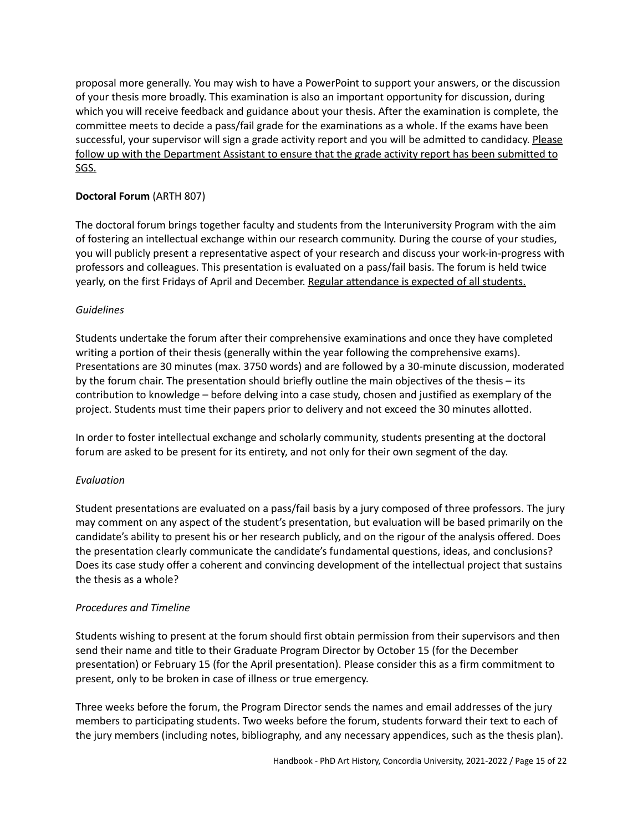proposal more generally. You may wish to have a PowerPoint to support your answers, or the discussion of your thesis more broadly. This examination is also an important opportunity for discussion, during which you will receive feedback and guidance about your thesis. After the examination is complete, the committee meets to decide a pass/fail grade for the examinations as a whole. If the exams have been successful, your supervisor will sign a grade activity report and you will be admitted to candidacy. Please follow up with the Department Assistant to ensure that the grade activity report has been submitted to SGS.

# <span id="page-14-0"></span>**Doctoral Forum** (ARTH 807)

The doctoral forum brings together faculty and students from the Interuniversity Program with the aim of fostering an intellectual exchange within our research community. During the course of your studies, you will publicly present a representative aspect of your research and discuss your work-in-progress with professors and colleagues. This presentation is evaluated on a pass/fail basis. The forum is held twice yearly, on the first Fridays of April and December. Regular attendance is expected of all students.

### <span id="page-14-1"></span>*Guidelines*

Students undertake the forum after their comprehensive examinations and once they have completed writing a portion of their thesis (generally within the year following the comprehensive exams). Presentations are 30 minutes (max. 3750 words) and are followed by a 30-minute discussion, moderated by the forum chair. The presentation should briefly outline the main objectives of the thesis – its contribution to knowledge – before delving into a case study, chosen and justified as exemplary of the project. Students must time their papers prior to delivery and not exceed the 30 minutes allotted.

In order to foster intellectual exchange and scholarly community, students presenting at the doctoral forum are asked to be present for its entirety, and not only for their own segment of the day.

### <span id="page-14-2"></span>*Evaluation*

Student presentations are evaluated on a pass/fail basis by a jury composed of three professors. The jury may comment on any aspect of the student's presentation, but evaluation will be based primarily on the candidate's ability to present his or her research publicly, and on the rigour of the analysis offered. Does the presentation clearly communicate the candidate's fundamental questions, ideas, and conclusions? Does its case study offer a coherent and convincing development of the intellectual project that sustains the thesis as a whole?

### <span id="page-14-3"></span>*Procedures and Timeline*

Students wishing to present at the forum should first obtain permission from their supervisors and then send their name and title to their Graduate Program Director by October 15 (for the December presentation) or February 15 (for the April presentation). Please consider this as a firm commitment to present, only to be broken in case of illness or true emergency.

Three weeks before the forum, the Program Director sends the names and email addresses of the jury members to participating students. Two weeks before the forum, students forward their text to each of the jury members (including notes, bibliography, and any necessary appendices, such as the thesis plan).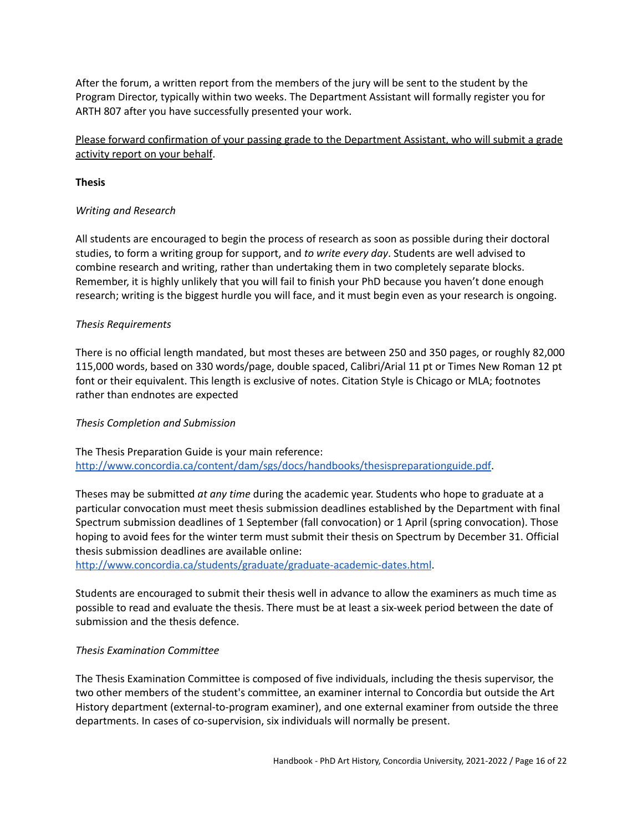After the forum, a written report from the members of the jury will be sent to the student by the Program Director, typically within two weeks. The Department Assistant will formally register you for ARTH 807 after you have successfully presented your work.

# Please forward confirmation of your passing grade to the Department Assistant, who will submit a grade activity report on your behalf.

### <span id="page-15-0"></span>**Thesis**

### <span id="page-15-1"></span>*Writing and Research*

All students are encouraged to begin the process of research as soon as possible during their doctoral studies, to form a writing group for support, and *to write every day*. Students are well advised to combine research and writing, rather than undertaking them in two completely separate blocks. Remember, it is highly unlikely that you will fail to finish your PhD because you haven't done enough research; writing is the biggest hurdle you will face, and it must begin even as your research is ongoing.

### <span id="page-15-2"></span>*Thesis Requirements*

There is no official length mandated, but most theses are between 250 and 350 pages, or roughly 82,000 115,000 words, based on 330 words/page, double spaced, Calibri/Arial 11 pt or Times New Roman 12 pt font or their equivalent. This length is exclusive of notes. Citation Style is Chicago or MLA; footnotes rather than endnotes are expected

### <span id="page-15-3"></span>*Thesis Completion and Submission*

The Thesis Preparation Guide is your main reference: [http://www.concordia.ca/content/dam/sgs/docs/handbooks/thesispreparationguide.pdf.](http://www.concordia.ca/content/dam/sgs/docs/handbooks/thesispreparationguide.pdf)

Theses may be submitted *at any time* during the academic year. Students who hope to graduate at a particular convocation must meet thesis submission deadlines established by the Department with final Spectrum submission deadlines of 1 September (fall convocation) or 1 April (spring convocation). Those hoping to avoid fees for the winter term must submit their thesis on Spectrum by December 31. Official thesis submission deadlines are available online:

<http://www.concordia.ca/students/graduate/graduate-academic-dates.html>.

Students are encouraged to submit their thesis well in advance to allow the examiners as much time as possible to read and evaluate the thesis. There must be at least a six-week period between the date of submission and the thesis defence.

### <span id="page-15-4"></span>*Thesis Examination Committee*

The Thesis Examination Committee is composed of five individuals, including the thesis supervisor, the two other members of the student's committee, an examiner internal to Concordia but outside the Art History department (external-to-program examiner), and one external examiner from outside the three departments. In cases of co-supervision, six individuals will normally be present.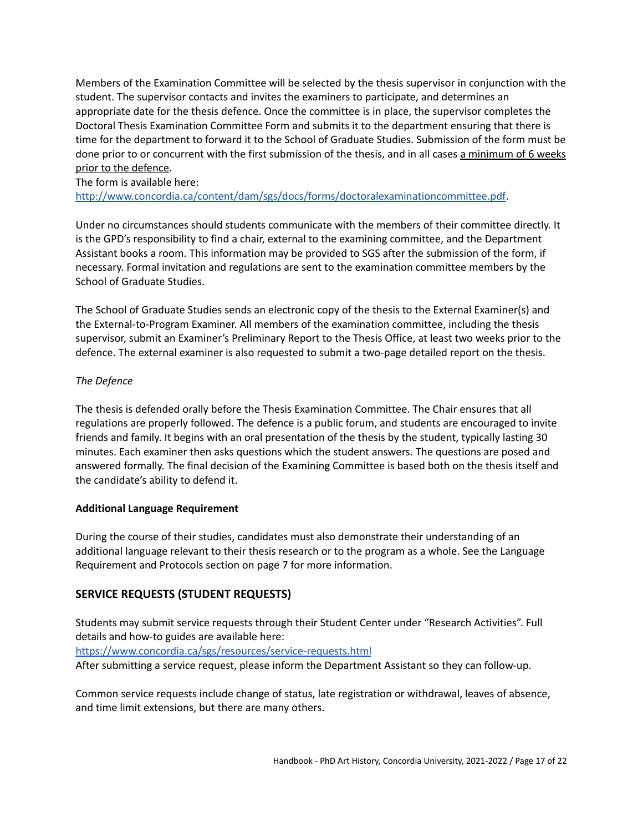Members of the Examination Committee will be selected by the thesis supervisor in conjunction with the student. The supervisor contacts and invites the examiners to participate, and determines an appropriate date for the thesis defence. Once the committee is in place, the supervisor completes the Doctoral Thesis Examination Committee Form and submits it to the department ensuring that there is time for the department to forward it to the School of Graduate Studies. Submission of the form must be done prior to or concurrent with the first submission of the thesis, and in all cases a minimum of 6 weeks prior to the defence.

The form is available here:

[http://www.concordia.ca/content/dam/sgs/docs/forms/doctoralexaminationcommittee.pdf.](http://www.concordia.ca/content/dam/sgs/docs/forms/doctoralexaminationcommittee.pdf)

Under no circumstances should students communicate with the members of their committee directly. It is the GPD's responsibility to find a chair, external to the examining committee, and the Department Assistant books a room. This information may be provided to SGS after the submission of the form, if necessary. Formal invitation and regulations are sent to the examination committee members by the School of Graduate Studies.

The School of Graduate Studies sends an electronic copy of the thesis to the External Examiner(s) and the External-to-Program Examiner. All members of the examination committee, including the thesis supervisor, submit an Examiner's Preliminary Report to the Thesis Office, at least two weeks prior to the defence. The external examiner is also requested to submit a two-page detailed report on the thesis.

### <span id="page-16-0"></span>*The Defence*

The thesis is defended orally before the Thesis Examination Committee. The Chair ensures that all regulations are properly followed. The defence is a public forum, and students are encouraged to invite friends and family. It begins with an oral presentation of the thesis by the student, typically lasting 30 minutes. Each examiner then asks questions which the student answers. The questions are posed and answered formally. The final decision of the Examining Committee is based both on the thesis itself and the candidate's ability to defend it.

### <span id="page-16-1"></span>**Additional Language Requirement**

During the course of their studies, candidates must also demonstrate their understanding of an additional language relevant to their thesis research or to the program as a whole. See the Language Requirement and Protocols section on page 7 for more information.

# <span id="page-16-2"></span>**SERVICE REQUESTS (STUDENT REQUESTS)**

Students may submit service requests through their Student Center under "Research Activities". Full details and how-to guides are available here:

<https://www.concordia.ca/sgs/resources/service-requests.html>

After submitting a service request, please inform the Department Assistant so they can follow-up.

Common service requests include change of status, late registration or withdrawal, leaves of absence, and time limit extensions, but there are many others.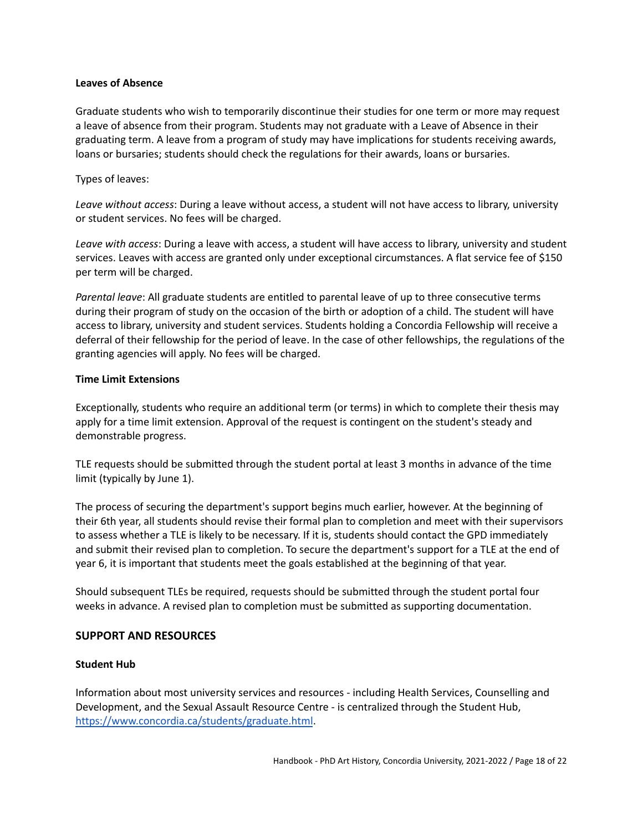#### <span id="page-17-0"></span>**Leaves of Absence**

Graduate students who wish to temporarily discontinue their studies for one term or more may request a leave of absence from their program. Students may not graduate with a Leave of Absence in their graduating term. A leave from a program of study may have implications for students receiving awards, loans or bursaries; students should check the regulations for their awards, loans or bursaries.

### Types of leaves:

*Leave without access*: During a leave without access, a student will not have access to library, university or student services. No fees will be charged.

*Leave with access*: During a leave with access, a student will have access to library, university and student services. Leaves with access are granted only under exceptional circumstances. A flat service fee of \$150 per term will be charged.

*Parental leave*: All graduate students are entitled to parental leave of up to three consecutive terms during their program of study on the occasion of the birth or adoption of a child. The student will have access to library, university and student services. Students holding a Concordia Fellowship will receive a deferral of their fellowship for the period of leave. In the case of other fellowships, the regulations of the granting agencies will apply. No fees will be charged.

### <span id="page-17-1"></span>**Time Limit Extensions**

Exceptionally, students who require an additional term (or terms) in which to complete their thesis may apply for a time limit extension. Approval of the request is contingent on the student's steady and demonstrable progress.

TLE requests should be submitted through the student portal at least 3 months in advance of the time limit (typically by June 1).

The process of securing the department's support begins much earlier, however. At the beginning of their 6th year, all students should revise their formal plan to completion and meet with their supervisors to assess whether a TLE is likely to be necessary. If it is, students should contact the GPD immediately and submit their revised plan to completion. To secure the department's support for a TLE at the end of year 6, it is important that students meet the goals established at the beginning of that year.

Should subsequent TLEs be required, requests should be submitted through the student portal four weeks in advance. A revised plan to completion must be submitted as supporting documentation.

# <span id="page-17-2"></span>**SUPPORT AND RESOURCES**

### <span id="page-17-3"></span>**Student Hub**

Information about most university services and resources - including Health Services, Counselling and Development, and the Sexual Assault Resource Centre - is centralized through the Student Hub, <https://www.concordia.ca/students/graduate.html>.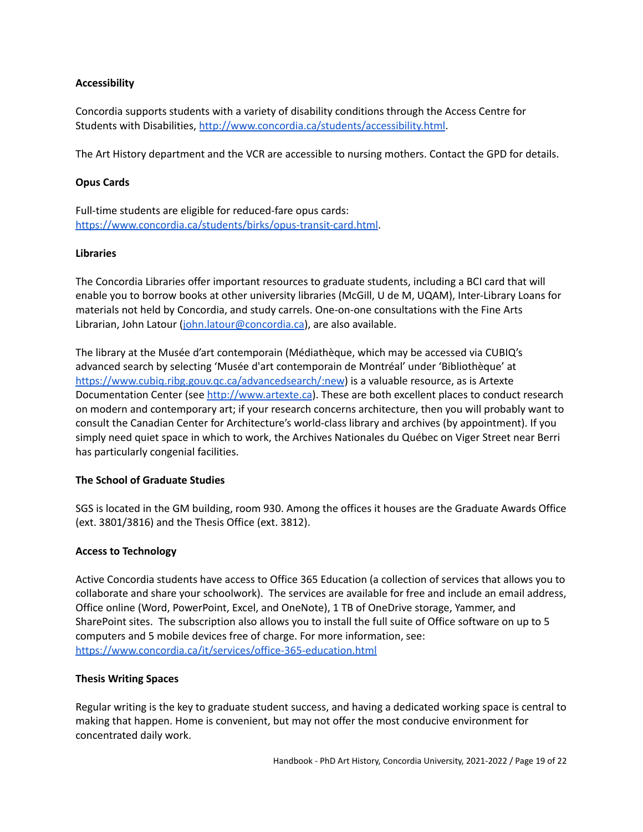### <span id="page-18-0"></span>**Accessibility**

Concordia supports students with a variety of disability conditions through the Access Centre for Students with Disabilities, <http://www.concordia.ca/students/accessibility.html>.

The Art History department and the VCR are accessible to nursing mothers. Contact the GPD for details.

### <span id="page-18-1"></span>**Opus Cards**

Full-time students are eligible for reduced-fare opus cards: <https://www.concordia.ca/students/birks/opus-transit-card.html>.

### <span id="page-18-2"></span>**Libraries**

The Concordia Libraries offer important resources to graduate students, including a BCI card that will enable you to borrow books at other university libraries (McGill, U de M, UQAM), Inter-Library Loans for materials not held by Concordia, and study carrels. One-on-one consultations with the Fine Arts Librarian, John Latour [\(john.latour@concordia.ca\)](mailto:john.latour@concordia.ca), are also available.

The library at the Musée d'art contemporain (Médiathèque, which may be accessed via CUBIQ's advanced search by selecting 'Musée d'art contemporain de Montréal' under 'Bibliothèque' at <https://www.cubiq.ribg.gouv.qc.ca/advancedsearch/:new>) is a valuable resource, as is Artexte Documentation Center (see <http://www.artexte.ca>). These are both excellent places to conduct research on modern and contemporary art; if your research concerns architecture, then you will probably want to consult the Canadian Center for Architecture's world-class library and archives (by appointment). If you simply need quiet space in which to work, the Archives Nationales du Québec on Viger Street near Berri has particularly congenial facilities.

### <span id="page-18-3"></span>**The School of Graduate Studies**

SGS is located in the GM building, room 930. Among the offices it houses are the Graduate Awards Office (ext. 3801/3816) and the Thesis Office (ext. 3812).

### <span id="page-18-4"></span>**Access to Technology**

Active Concordia students have access to Office 365 Education (a collection of services that allows you to collaborate and share your schoolwork). The services are available for free and include an email address, Office online (Word, PowerPoint, Excel, and OneNote), 1 TB of OneDrive storage, Yammer, and SharePoint sites. The subscription also allows you to install the full suite of Office software on up to 5 computers and 5 mobile devices free of charge. For more information, see: <https://www.concordia.ca/it/services/office-365-education.html>

### <span id="page-18-5"></span>**Thesis Writing Spaces**

Regular writing is the key to graduate student success, and having a dedicated working space is central to making that happen. Home is convenient, but may not offer the most conducive environment for concentrated daily work.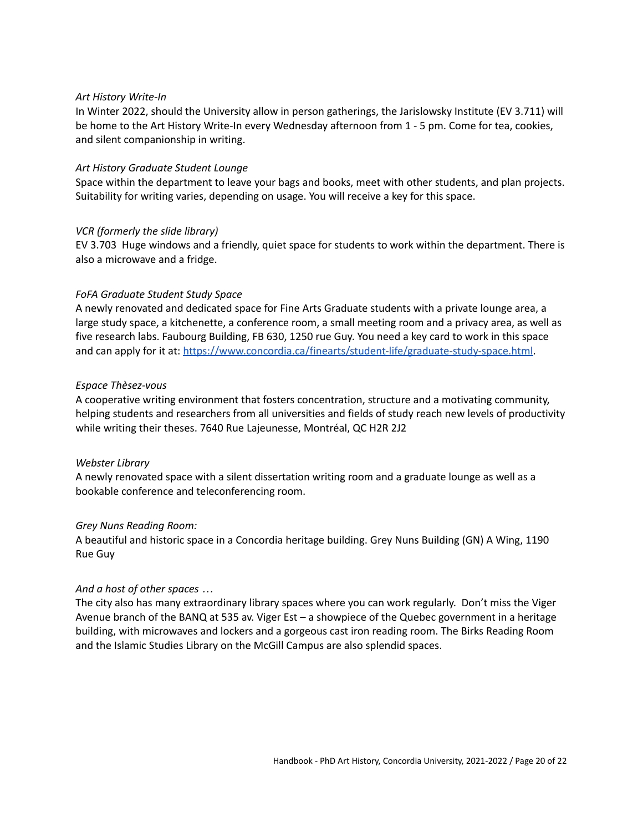#### *Art History Write-In*

In Winter 2022, should the University allow in person gatherings, the Jarislowsky Institute (EV 3.711) will be home to the Art History Write-In every Wednesday afternoon from 1 - 5 pm. Come for tea, cookies, and silent companionship in writing.

#### *Art History Graduate Student Lounge*

Space within the department to leave your bags and books, meet with other students, and plan projects. Suitability for writing varies, depending on usage. You will receive a key for this space.

#### *VCR (formerly the slide library)*

EV 3.703 Huge windows and a friendly, quiet space for students to work within the department. There is also a microwave and a fridge.

#### *FoFA Graduate Student Study Space*

A newly renovated and dedicated space for Fine Arts Graduate students with a private lounge area, a large study space, a kitchenette, a conference room, a small meeting room and a privacy area, as well as five research labs. Faubourg Building, FB 630, 1250 rue Guy. You need a key card to work in this space and can apply for it at: [https://www.concordia.ca/finearts/student-life/graduate-study-space.html.](https://www.concordia.ca/finearts/student-life/graduate-study-space.html)

#### *Espace Thèsez-vous*

A cooperative writing environment that fosters concentration, structure and a motivating community, helping students and researchers from all universities and fields of study reach new levels of productivity while writing their theses. 7640 Rue Lajeunesse, Montréal, QC H2R 2J2

#### *Webster Library*

A newly renovated space with a silent dissertation writing room and a graduate lounge as well as a bookable conference and teleconferencing room.

#### *Grey Nuns Reading Room:*

A beautiful and historic space in a Concordia heritage building. Grey Nuns Building (GN) A Wing, 1190 Rue Guy

#### *And a host of other spaces …*

The city also has many extraordinary library spaces where you can work regularly. Don't miss the Viger Avenue branch of the BANQ at 535 av. Viger Est – a showpiece of the Quebec government in a heritage building, with microwaves and lockers and a gorgeous cast iron reading room. The Birks Reading Room and the Islamic Studies Library on the McGill Campus are also splendid spaces.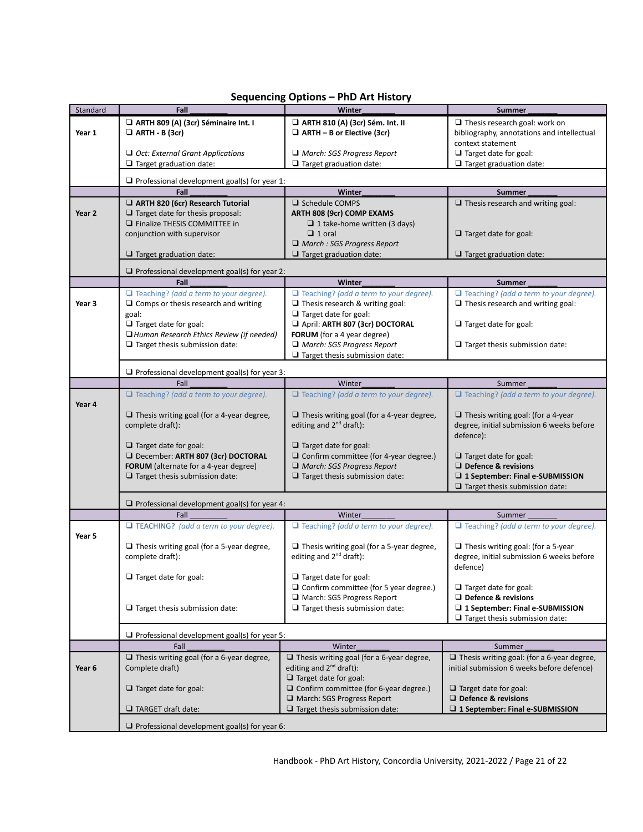<span id="page-20-0"></span>

| Standard | Fall                                                                                         | Winter                                                                                  | <b>Summer</b>                                                                             |  |
|----------|----------------------------------------------------------------------------------------------|-----------------------------------------------------------------------------------------|-------------------------------------------------------------------------------------------|--|
|          | ARTH 809 (A) (3cr) Séminaire Int. I                                                          | ARTH 810 (A) (3cr) Sém. Int. II                                                         | $\Box$ Thesis research goal: work on                                                      |  |
| Year 1   | $\Box$ ARTH - B (3cr)                                                                        | $\Box$ ARTH - B or Elective (3cr)                                                       | bibliography, annotations and intellectual                                                |  |
|          |                                                                                              |                                                                                         | context statement                                                                         |  |
|          | $\Box$ Oct: External Grant Applications                                                      | $\Box$ March: SGS Progress Report                                                       | $\Box$ Target date for goal:                                                              |  |
|          | $\Box$ Target graduation date:                                                               | $\Box$ Target graduation date:                                                          | $\Box$ Target graduation date:                                                            |  |
|          | $\Box$ Professional development goal(s) for year 1:                                          |                                                                                         |                                                                                           |  |
|          | Fall                                                                                         | Winter                                                                                  | <b>Summer</b>                                                                             |  |
|          | ARTH 820 (6cr) Research Tutorial                                                             | $\Box$ Schedule COMPS                                                                   | $\Box$ Thesis research and writing goal:                                                  |  |
| Year 2   | $\Box$ Target date for thesis proposal:                                                      | ARTH 808 (9cr) COMP EXAMS                                                               |                                                                                           |  |
|          | $\Box$ Finalize THESIS COMMITTEE in                                                          | $\Box$ 1 take-home written (3 days)                                                     |                                                                                           |  |
|          | conjunction with supervisor                                                                  | $\Box$ 1 oral                                                                           | $\Box$ Target date for goal:                                                              |  |
|          |                                                                                              | $\Box$ March : SGS Progress Report                                                      |                                                                                           |  |
|          | $\Box$ Target graduation date:                                                               | $\Box$ Target graduation date:                                                          | $\Box$ Target graduation date:                                                            |  |
|          |                                                                                              |                                                                                         |                                                                                           |  |
|          | $\Box$ Professional development goal(s) for year 2:                                          |                                                                                         |                                                                                           |  |
|          | Fall                                                                                         | <b>Winter</b><br>$\Box$ Teaching? (add a term to your degree).                          | <b>Summer</b>                                                                             |  |
| Year 3   | $\Box$ Teaching? (add a term to your degree).<br>$\Box$ Comps or thesis research and writing | $\Box$ Thesis research & writing goal:                                                  | $\Box$ Teaching? (add a term to your degree).<br>$\Box$ Thesis research and writing goal: |  |
|          | goal:                                                                                        | $\Box$ Target date for goal:                                                            |                                                                                           |  |
|          | $\Box$ Target date for goal:                                                                 | April: ARTH 807 (3cr) DOCTORAL                                                          | $\Box$ Target date for goal:                                                              |  |
|          | Human Research Ethics Review (if needed)                                                     | FORUM (for a 4 year degree)                                                             |                                                                                           |  |
|          | $\Box$ Target thesis submission date:                                                        | $\Box$ March: SGS Progress Report                                                       | $\Box$ Target thesis submission date:                                                     |  |
|          |                                                                                              | $\Box$ Target thesis submission date:                                                   |                                                                                           |  |
|          |                                                                                              |                                                                                         |                                                                                           |  |
|          | $\Box$ Professional development goal(s) for year 3:                                          |                                                                                         |                                                                                           |  |
|          | Fall                                                                                         | Winter                                                                                  | Summer                                                                                    |  |
|          | $\Box$ Teaching? (add a term to your degree).                                                | $\Box$ Teaching? (add a term to your degree).                                           | $\Box$ Teaching? (add a term to your degree).                                             |  |
| Year 4   |                                                                                              |                                                                                         |                                                                                           |  |
|          | $\Box$ Thesis writing goal (for a 4-year degree,<br>complete draft):                         | $\Box$ Thesis writing goal (for a 4-year degree,<br>editing and 2 <sup>nd</sup> draft): | $\Box$ Thesis writing goal: (for a 4-year<br>degree, initial submission 6 weeks before    |  |
|          |                                                                                              |                                                                                         | defence):                                                                                 |  |
|          | $\Box$ Target date for goal:                                                                 | $\Box$ Target date for goal:                                                            |                                                                                           |  |
|          | December: ARTH 807 (3cr) DOCTORAL                                                            | $\Box$ Confirm committee (for 4-year degree.)                                           | $\Box$ Target date for goal:                                                              |  |
|          | FORUM (alternate for a 4-year degree)                                                        | March: SGS Progress Report                                                              | $\Box$ Defence & revisions                                                                |  |
|          | $\Box$ Target thesis submission date:                                                        | $\Box$ Target thesis submission date:                                                   | □ 1 September: Final e-SUBMISSION                                                         |  |
|          |                                                                                              |                                                                                         | $\Box$ Target thesis submission date:                                                     |  |
|          |                                                                                              |                                                                                         |                                                                                           |  |
|          | $\Box$ Professional development goal(s) for year 4:<br>Fall                                  | Winter                                                                                  | Summer                                                                                    |  |
|          | $\Box$ TEACHING? (add a term to your degree).                                                | $\Box$ Teaching? (add a term to your degree).                                           | $\Box$ Teaching? (add a term to your degree).                                             |  |
| Year 5   |                                                                                              |                                                                                         |                                                                                           |  |
|          | $\Box$ Thesis writing goal (for a 5-year degree,                                             | $\Box$ Thesis writing goal (for a 5-year degree,                                        | $\Box$ Thesis writing goal: (for a 5-year                                                 |  |
|          | complete draft):                                                                             | editing and 2 <sup>nd</sup> draft):                                                     | degree, initial submission 6 weeks before                                                 |  |
|          |                                                                                              |                                                                                         | defence)                                                                                  |  |
|          | $\Box$ Target date for goal:                                                                 | $\Box$ Target date for goal:                                                            |                                                                                           |  |
|          |                                                                                              | $\Box$ Confirm committee (for 5 year degree.)                                           | $\Box$ Target date for goal:                                                              |  |
|          |                                                                                              | March: SGS Progress Report                                                              | $\Box$ Defence & revisions                                                                |  |
|          | $\Box$ Target thesis submission date:                                                        | $\Box$ Target thesis submission date:                                                   | □ 1 September: Final e-SUBMISSION                                                         |  |
|          |                                                                                              |                                                                                         | $\Box$ Target thesis submission date:                                                     |  |
|          | $\Box$ Professional development goal(s) for year 5:                                          |                                                                                         |                                                                                           |  |
|          | Fall                                                                                         | Winter                                                                                  | Summer                                                                                    |  |
|          | $\Box$ Thesis writing goal (for a 6-year degree,                                             | $\Box$ Thesis writing goal (for a 6-year degree,                                        | $\Box$ Thesis writing goal: (for a 6-year degree,                                         |  |
| Year 6   | Complete draft)                                                                              | editing and 2 <sup>nd</sup> draft):                                                     | initial submission 6 weeks before defence)                                                |  |
|          |                                                                                              | $\Box$ Target date for goal:                                                            |                                                                                           |  |
|          | $\Box$ Target date for goal:                                                                 | $\Box$ Confirm committee (for 6-year degree.)                                           | $\Box$ Target date for goal:                                                              |  |
|          |                                                                                              | March: SGS Progress Report                                                              | $\Box$ Defence & revisions                                                                |  |
|          | $\Box$ TARGET draft date:                                                                    | $\Box$ Target thesis submission date:                                                   | □ 1 September: Final e-SUBMISSION                                                         |  |
|          | $\Box$ Professional development goal(s) for year 6:                                          |                                                                                         |                                                                                           |  |
|          |                                                                                              |                                                                                         |                                                                                           |  |

# **Sequencing Options – PhD Art History**